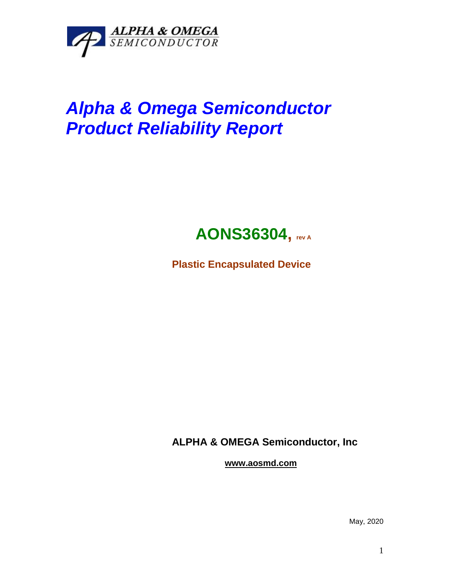

## *Alpha & Omega Semiconductor Product Reliability Report*



**Plastic Encapsulated Device**

**ALPHA & OMEGA Semiconductor, Inc**

**www.aosmd.com**

May, 2020